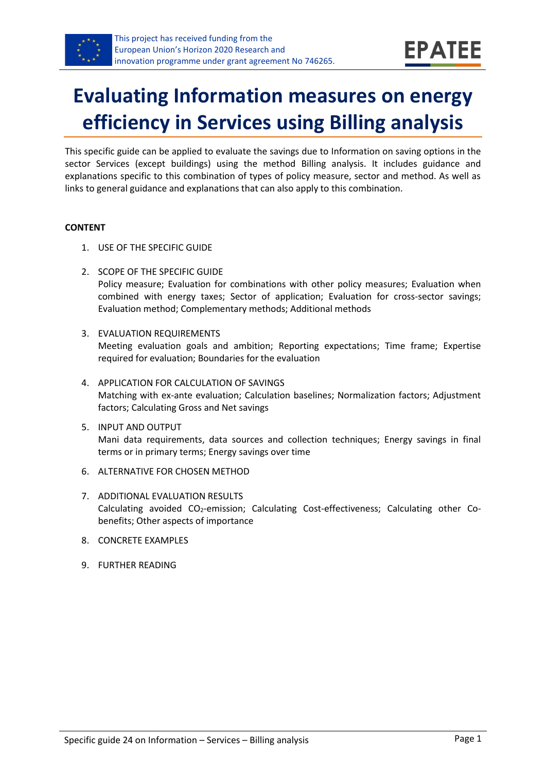

# **Evaluating Information measures on energy efficiency in Services using Billing analysis**

This specific guide can be applied to evaluate the savings due to Information on saving options in the sector Services (except buildings) using the method Billing analysis. It includes guidance and explanations specific to this combination of types of policy measure, sector and method. As well as links to general guidance and explanations that can also apply to this combination.

#### **CONTENT**

- 1. USE OF THE SPECIFIC GUIDE
- <span id="page-0-1"></span>2. SCOPE OF THE SPECIFIC GUIDE Policy measure; Evaluation for combinations with other policy measures; Evaluation when combined with energy taxes; Sector of application; Evaluation for cross-sector savings; Evaluation method; Complementary methods; Additional methods
- <span id="page-0-2"></span>3. EVALUATION REQUIREMENTS Meeting evaluation goals and ambition; Reporting expectations; Time frame; Expertise required for evaluation; Boundaries for the evaluation
- <span id="page-0-3"></span>4. APPLICATION FOR CALCULATION OF SAVINGS Matching with ex-ante evaluation; Calculation baselines; Normalization factors; Adjustment factors; Calculating Gross and Net savings
- <span id="page-0-4"></span>5. INPUT AND OUTPUT Mani data requirements, data sources and collection techniques; Energy savings in final terms or in primary terms; Energy savings over time
- <span id="page-0-0"></span>6. ALTERNATIVE FOR CHOSEN METHOD
- <span id="page-0-5"></span>7. ADDITIONAL EVALUATION RESULTS Calculating avoided CO2-emission; Calculating Cost-effectiveness; Calculating other Cobenefits; Other aspects of importance
- <span id="page-0-6"></span>8. CONCRETE EXAMPLES
- <span id="page-0-7"></span>9. FURTHER READING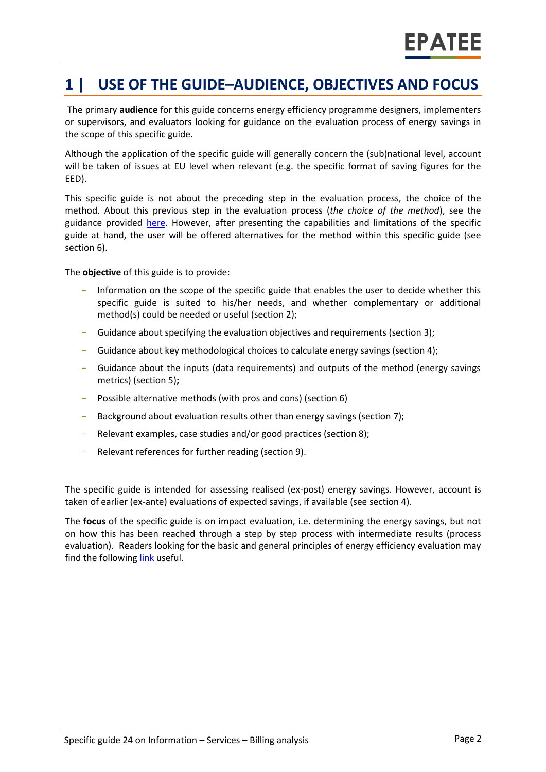## **1 | USE OF THE GUIDE–AUDIENCE, OBJECTIVES AND FOCUS**

The primary **audience** for this guide concerns energy efficiency programme designers, implementers or supervisors, and evaluators looking for guidance on the evaluation process of energy savings in the scope of this specific guide.

Although the application of the specific guide will generally concern the (sub)national level, account will be taken of issues at EU level when relevant (e.g. the specific format of saving figures for the EED).

This specific guide is not about the preceding step in the evaluation process, the choice of the method. About this previous step in the evaluation process (*the choice of the method*), see the guidance provided [here.](https://www.epatee-toolbox.eu/wp-content/uploads/2019/04/epatee_integrating_evaluation_into_policy_cycle.pdf) However, after presenting the capabilities and limitations of the specific guide at hand, the user will be offered alternatives for the method within this specific guide (see sectio[n 6\)](#page-0-0).

The **objective** of this guide is to provide:

- Information on the scope of the specific guide that enables the user to decide whether this specific guide is suited to his/her needs, and whether complementary or additional method(s) could be needed or useful (section [2\)](#page-0-1);
- Guidance about specifying the evaluation objectives and requirements (section [3\)](#page-0-2);
- Guidance about key methodological choices to calculate energy savings (section [4\)](#page-0-3);
- Guidance about the inputs (data requirements) and outputs of the method (energy savings metrics) (sectio[n 5\)](#page-0-4)**;**
- Possible alternative methods (with pros and cons) (section [6\)](#page-0-0)
- Background about evaluation results other than energy savings (sectio[n 7\)](#page-0-5);
- Relevant examples, case studies and/or good practices (section [8\)](#page-0-6);
- Relevant references for further reading (section [9\)](#page-0-7).

The specific guide is intended for assessing realised (ex-post) energy savings. However, account is taken of earlier (ex-ante) evaluations of expected savings, if available (see sectio[n 4\)](#page-0-3).

The **focus** of the specific guide is on impact evaluation, i.e. determining the energy savings, but not on how this has been reached through a step by step process with intermediate results (process evaluation). Readers looking for the basic and general principles of energy efficiency evaluation may find the following [link](https://www.epatee-toolbox.eu/evaluation-principles-and-methods/) useful.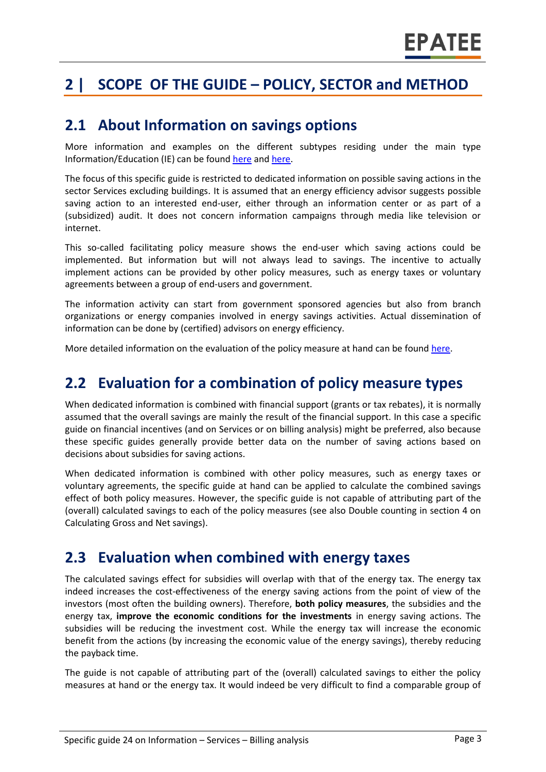## **2 | SCOPE OF THE GUIDE – POLICY, SECTOR and METHOD**

#### **2.1 About Information on savings options**

More information and examples on the different subtypes residing under the main type Information/Education (IE) can be found [here](http://www.measures-odyssee-mure.eu/) and [here.](https://www.epatee-lib.eu/)

The focus of this specific guide is restricted to dedicated information on possible saving actions in the sector Services excluding buildings. It is assumed that an energy efficiency advisor suggests possible saving action to an interested end-user, either through an information center or as part of a (subsidized) audit. It does not concern information campaigns through media like television or internet.

This so-called facilitating policy measure shows the end-user which saving actions could be implemented. But information but will not always lead to savings. The incentive to actually implement actions can be provided by other policy measures, such as energy taxes or voluntary agreements between a group of end-users and government.

The information activity can start from government sponsored agencies but also from branch organizations or energy companies involved in energy savings activities. Actual dissemination of information can be done by (certified) advisors on energy efficiency.

More detailed information on the evaluation of the policy measure at hand can be found [here.](https://www.epatee-lib.eu/media/docs/EMEEES_WP2_D1_Assessment_existing_evaluation_2008-04-21.pdf)

#### **2.2 Evaluation for a combination of policy measure types**

When dedicated information is combined with financial support (grants or tax rebates), it is normally assumed that the overall savings are mainly the result of the financial support. In this case a specific guide on financial incentives (and on Services or on billing analysis) might be preferred, also because these specific guides generally provide better data on the number of saving actions based on decisions about subsidies for saving actions.

When dedicated information is combined with other policy measures, such as energy taxes or voluntary agreements, the specific guide at hand can be applied to calculate the combined savings effect of both policy measures. However, the specific guide is not capable of attributing part of the (overall) calculated savings to each of the policy measures (see also Double counting in section [4](#page-0-3) on Calculating Gross and Net savings).

### **2.3 Evaluation when combined with energy taxes**

The calculated savings effect for subsidies will overlap with that of the energy tax. The energy tax indeed increases the cost-effectiveness of the energy saving actions from the point of view of the investors (most often the building owners). Therefore, **both policy measures**, the subsidies and the energy tax, **improve the economic conditions for the investments** in energy saving actions. The subsidies will be reducing the investment cost. While the energy tax will increase the economic benefit from the actions (by increasing the economic value of the energy savings), thereby reducing the payback time.

The guide is not capable of attributing part of the (overall) calculated savings to either the policy measures at hand or the energy tax. It would indeed be very difficult to find a comparable group of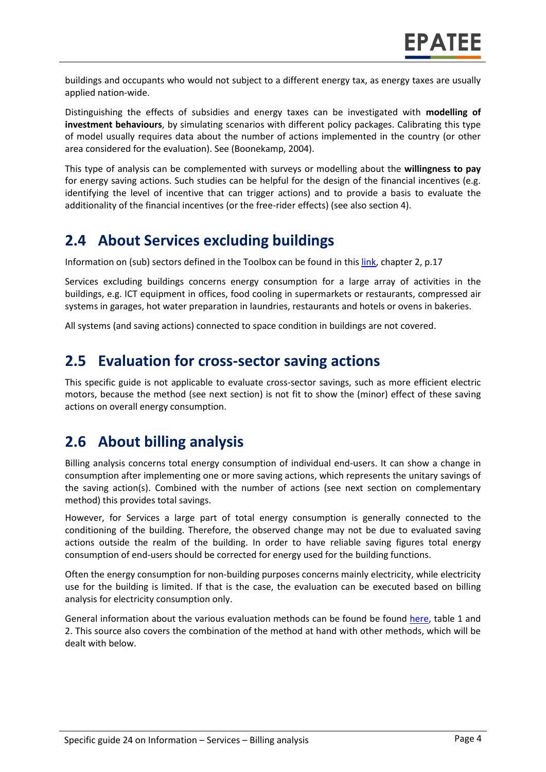buildings and occupants who would not subject to a different energy tax, as energy taxes are usually applied nation-wide.

Distinguishing the effects of subsidies and energy taxes can be investigated with **modelling of investment behaviours**, by simulating scenarios with different policy packages. Calibrating this type of model usually requires data about the number of actions implemented in the country (or other area considered for the evaluation). See (Boonekamp, 2004).

This type of analysis can be complemented with surveys or modelling about the **willingness to pay** for energy saving actions. Such studies can be helpful for the design of the financial incentives (e.g. identifying the level of incentive that can trigger actions) and to provide a basis to evaluate the additionality of the financial incentives (or the free-rider effects) (see also section 4).

## **2.4 About Services excluding buildings**

Information on (sub) sectors defined in the Toolbox can be found in this [link,](https://www.epatee-toolbox.eu/wp-content/uploads/2018/10/Definitions-and-typologies-related-to-energy-savings-evaluation.pdf) chapter 2, p.17

Services excluding buildings concerns energy consumption for a large array of activities in the buildings, e.g. ICT equipment in offices, food cooling in supermarkets or restaurants, compressed air systems in garages, hot water preparation in laundries, restaurants and hotels or ovens in bakeries.

All systems (and saving actions) connected to space condition in buildings are not covered.

### **2.5 Evaluation for cross-sector saving actions**

This specific guide is not applicable to evaluate cross-sector savings, such as more efficient electric motors, because the method (see next section) is not fit to show the (minor) effect of these saving actions on overall energy consumption.

### **2.6 About billing analysis**

Billing analysis concerns total energy consumption of individual end-users. It can show a change in consumption after implementing one or more saving actions, which represents the unitary savings of the saving action(s). Combined with the number of actions (see next section on complementary method) this provides total savings.

However, for Services a large part of total energy consumption is generally connected to the conditioning of the building. Therefore, the observed change may not be due to evaluated saving actions outside the realm of the building. In order to have reliable saving figures total energy consumption of end-users should be corrected for energy used for the building functions.

Often the energy consumption for non-building purposes concerns mainly electricity, while electricity use for the building is limited. If that is the case, the evaluation can be executed based on billing analysis for electricity consumption only.

General information about the various evaluation methods can be found be found [here,](https://www.epatee-toolbox.eu/wp-content/uploads/2019/04/Saving_calculation_methods_for_EPATEE_Toobox_2019_04_24.pdf) table 1 and 2. This source also covers the combination of the method at hand with other methods, which will be dealt with below.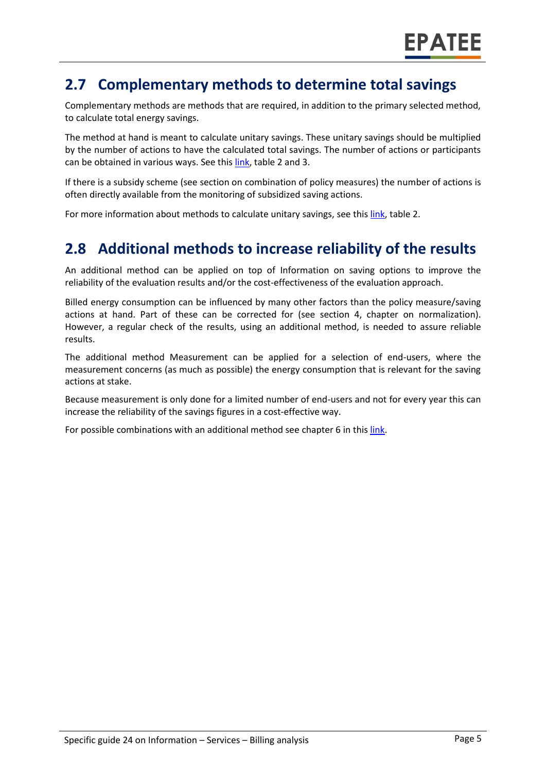## **2.7 Complementary methods to determine total savings**

Complementary methods are methods that are required, in addition to the primary selected method, to calculate total energy savings.

The method at hand is meant to calculate unitary savings. These unitary savings should be multiplied by the number of actions to have the calculated total savings. The number of actions or participants can be obtained in various ways. See this [link,](https://www.epatee-toolbox.eu/wp-content/uploads/2019/04/Saving_calculation_methods_for_EPATEE_Toobox_2019_04_24.pdf) table 2 and 3.

If there is a subsidy scheme (see section on combination of policy measures) the number of actions is often directly available from the monitoring of subsidized saving actions.

For more information about methods to calculate unitary savings, see thi[s link,](https://www.epatee-toolbox.eu/wp-content/uploads/2019/04/Saving_calculation_methods_for_EPATEE_Toobox_2019_04_24.pdf) table 2.

### **2.8 Additional methods to increase reliability of the results**

An additional method can be applied on top of Information on saving options to improve the reliability of the evaluation results and/or the cost-effectiveness of the evaluation approach.

Billed energy consumption can be influenced by many other factors than the policy measure/saving actions at hand. Part of these can be corrected for (see section [4,](#page-0-3) chapter on normalization). However, a regular check of the results, using an additional method, is needed to assure reliable results.

The additional method Measurement can be applied for a selection of end-users, where the measurement concerns (as much as possible) the energy consumption that is relevant for the saving actions at stake.

Because measurement is only done for a limited number of end-users and not for every year this can increase the reliability of the savings figures in a cost-effective way.

For possible combinations with an additional method see chapter 6 in thi[s link.](https://www.epatee-toolbox.eu/wp-content/uploads/2019/04/Saving_calculation_methods_for_EPATEE_Toobox_2019_04_24.pdf)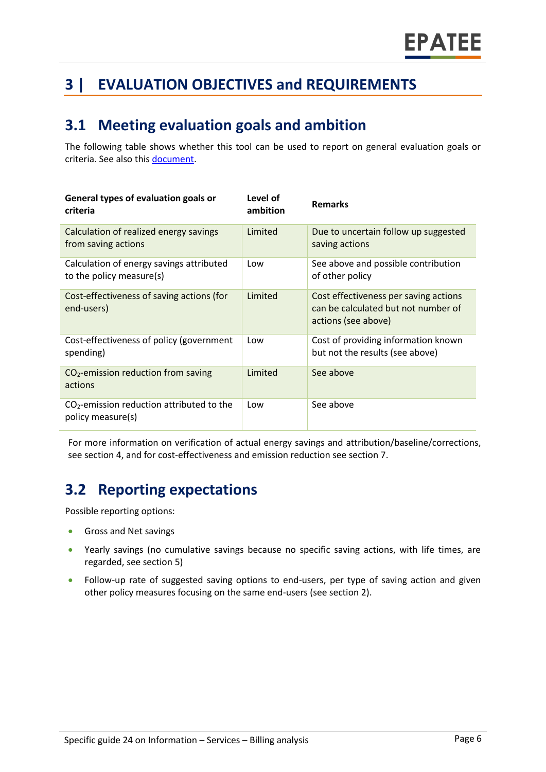## **3 | EVALUATION OBJECTIVES and REQUIREMENTS**

## **3.1 Meeting evaluation goals and ambition**

The following table shows whether this tool can be used to report on general evaluation goals or criteria. See also thi[s document.](https://www.epatee-lib.eu/media/docs/D4_EMEEES_Final.pdf)

| General types of evaluation goals or<br>criteria                     | Level of<br>ambition | <b>Remarks</b>                                                                                      |
|----------------------------------------------------------------------|----------------------|-----------------------------------------------------------------------------------------------------|
| Calculation of realized energy savings<br>from saving actions        | Limited              | Due to uncertain follow up suggested<br>saving actions                                              |
| Calculation of energy savings attributed<br>to the policy measure(s) | Low                  | See above and possible contribution<br>of other policy                                              |
| Cost-effectiveness of saving actions (for<br>end-users)              | Limited              | Cost effectiveness per saving actions<br>can be calculated but not number of<br>actions (see above) |
| Cost-effectiveness of policy (government<br>spending)                | Low                  | Cost of providing information known<br>but not the results (see above)                              |
| $CO2$ -emission reduction from saving<br>actions                     | Limited              | See above                                                                                           |
| $CO2$ -emission reduction attributed to the<br>policy measure(s)     | Low                  | See above                                                                                           |

For more information on verification of actual energy savings and attribution/baseline/corrections, see sectio[n 4,](#page-0-3) and for cost-effectiveness and emission reduction see section [7.](#page-0-5)

## **3.2 Reporting expectations**

Possible reporting options:

- Gross and Net savings
- Yearly savings (no cumulative savings because no specific saving actions, with life times, are regarded, see section [5\)](#page-0-4)
- Follow-up rate of suggested saving options to end-users, per type of saving action and given other policy measures focusing on the same end-users (see sectio[n 2\)](#page-0-1).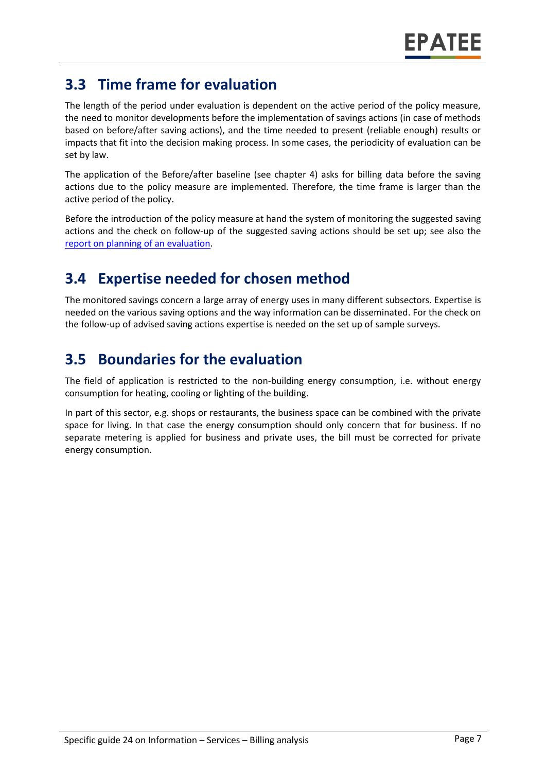## **3.3 Time frame for evaluation**

The length of the period under evaluation is dependent on the active period of the policy measure, the need to monitor developments before the implementation of savings actions (in case of methods based on before/after saving actions), and the time needed to present (reliable enough) results or impacts that fit into the decision making process. In some cases, the periodicity of evaluation can be set by law.

The application of the Before/after baseline (see chapter 4) asks for billing data before the saving actions due to the policy measure are implemented. Therefore, the time frame is larger than the active period of the policy.

Before the introduction of the policy measure at hand the system of monitoring the suggested saving actions and the check on follow-up of the suggested saving actions should be set up; see also the [report on planning of an evaluation.](https://www.epatee-toolbox.eu/wp-content/uploads/2019/04/epatee_integrating_evaluation_into_policy_cycle.pdf)

## **3.4 Expertise needed for chosen method**

The monitored savings concern a large array of energy uses in many different subsectors. Expertise is needed on the various saving options and the way information can be disseminated. For the check on the follow-up of advised saving actions expertise is needed on the set up of sample surveys.

## **3.5 Boundaries for the evaluation**

The field of application is restricted to the non-building energy consumption, i.e. without energy consumption for heating, cooling or lighting of the building.

In part of this sector, e.g. shops or restaurants, the business space can be combined with the private space for living. In that case the energy consumption should only concern that for business. If no separate metering is applied for business and private uses, the bill must be corrected for private energy consumption.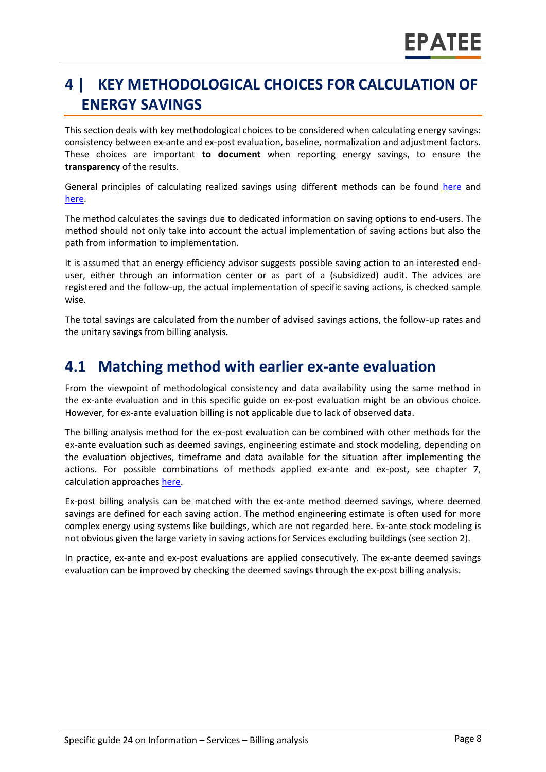## **4 | KEY METHODOLOGICAL CHOICES FOR CALCULATION OF ENERGY SAVINGS**

This section deals with key methodological choices to be considered when calculating energy savings: consistency between ex-ante and ex-post evaluation, baseline, normalization and adjustment factors. These choices are important **to document** when reporting energy savings, to ensure the **transparency** of the results.

General principles of calculating realized savings using different methods can be found [here](https://www.epatee-lib.eu/media/docs/D4_EMEEES_Final.pdf) and [here.](https://www.epatee-lib.eu/media/docs/EMEEES_WP3_Report_Final.pdf)

The method calculates the savings due to dedicated information on saving options to end-users. The method should not only take into account the actual implementation of saving actions but also the path from information to implementation.

It is assumed that an energy efficiency advisor suggests possible saving action to an interested enduser, either through an information center or as part of a (subsidized) audit. The advices are registered and the follow-up, the actual implementation of specific saving actions, is checked sample wise.

The total savings are calculated from the number of advised savings actions, the follow-up rates and the unitary savings from billing analysis.

#### **4.1 Matching method with earlier ex-ante evaluation**

From the viewpoint of methodological consistency and data availability using the same method in the ex-ante evaluation and in this specific guide on ex-post evaluation might be an obvious choice. However, for ex-ante evaluation billing is not applicable due to lack of observed data.

The billing analysis method for the ex-post evaluation can be combined with other methods for the ex-ante evaluation such as deemed savings, engineering estimate and stock modeling, depending on the evaluation objectives, timeframe and data available for the situation after implementing the actions. For possible combinations of methods applied ex-ante and ex-post, see chapter 7, calculation approaches [here.](https://www.epatee-toolbox.eu/wp-content/uploads/2019/04/Saving_calculation_methods_for_EPATEE_Toobox_2019_04_24.pdf)

Ex-post billing analysis can be matched with the ex-ante method deemed savings, where deemed savings are defined for each saving action. The method engineering estimate is often used for more complex energy using systems like buildings, which are not regarded here. Ex-ante stock modeling is not obvious given the large variety in saving actions for Services excluding buildings (see section 2).

In practice, ex-ante and ex-post evaluations are applied consecutively. The ex-ante deemed savings evaluation can be improved by checking the deemed savings through the ex-post billing analysis.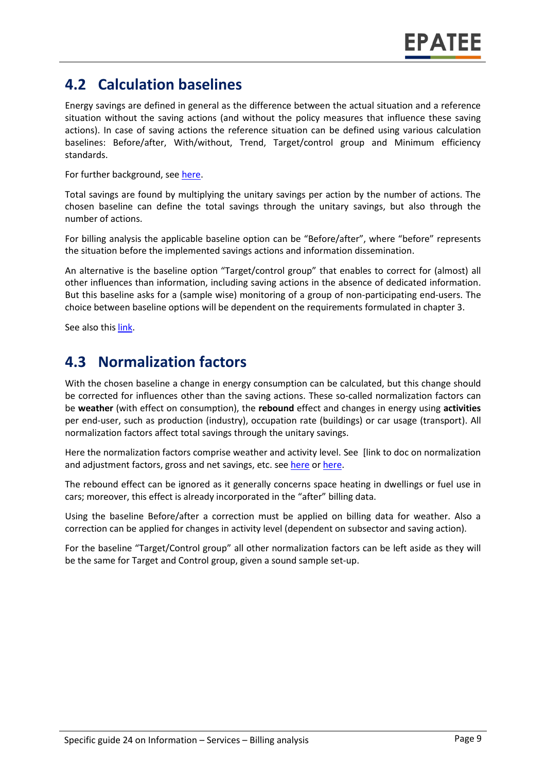## **4.2 Calculation baselines**

Energy savings are defined in general as the difference between the actual situation and a reference situation without the saving actions (and without the policy measures that influence these saving actions). In case of saving actions the reference situation can be defined using various calculation baselines: Before/after, With/without, Trend, Target/control group and Minimum efficiency standards.

For further background, see [here.](https://www.epatee-toolbox.eu/wp-content/uploads/2019/04/Application_of_KB_savings_baselines_and_correction_factors_in_the_Toolbox_and_PSMCs_190418_.pdf)

Total savings are found by multiplying the unitary savings per action by the number of actions. The chosen baseline can define the total savings through the unitary savings, but also through the number of actions.

For billing analysis the applicable baseline option can be "Before/after", where "before" represents the situation before the implemented savings actions and information dissemination.

An alternative is the baseline option "Target/control group" that enables to correct for (almost) all other influences than information, including saving actions in the absence of dedicated information. But this baseline asks for a (sample wise) monitoring of a group of non-participating end-users. The choice between baseline options will be dependent on the requirements formulated in chapter 3.

See also thi[s link.](https://www.academia.edu/14979876/Evaluating_energy_efficiency_policy_measures_and_DSM_programmes)

#### **4.3 Normalization factors**

With the chosen baseline a change in energy consumption can be calculated, but this change should be corrected for influences other than the saving actions. These so-called normalization factors can be **weather** (with effect on consumption), the **rebound** effect and changes in energy using **activities** per end-user, such as production (industry), occupation rate (buildings) or car usage (transport). All normalization factors affect total savings through the unitary savings.

Here the normalization factors comprise weather and activity level. See [link to doc on normalization and adjustment factors, gross and net savings, etc. see [here](https://www.academia.edu/14979876/Evaluating_energy_efficiency_policy_measures_and_DSM_programmes) or [here.](https://www.eceee.org/library/conference_proceedings/eceee_Summer_Studies/2017/8-monitoring-and-evaluation-building-confidence-and-enhancing-practices/impacts-and-cost-effectiveness-of-major-energy-efficiency-policies-for-existing-buildings-what-do-we-exactly-know-and-what-can-we-learn/)

The rebound effect can be ignored as it generally concerns space heating in dwellings or fuel use in cars; moreover, this effect is already incorporated in the "after" billing data.

Using the baseline Before/after a correction must be applied on billing data for weather. Also a correction can be applied for changes in activity level (dependent on subsector and saving action).

For the baseline "Target/Control group" all other normalization factors can be left aside as they will be the same for Target and Control group, given a sound sample set-up.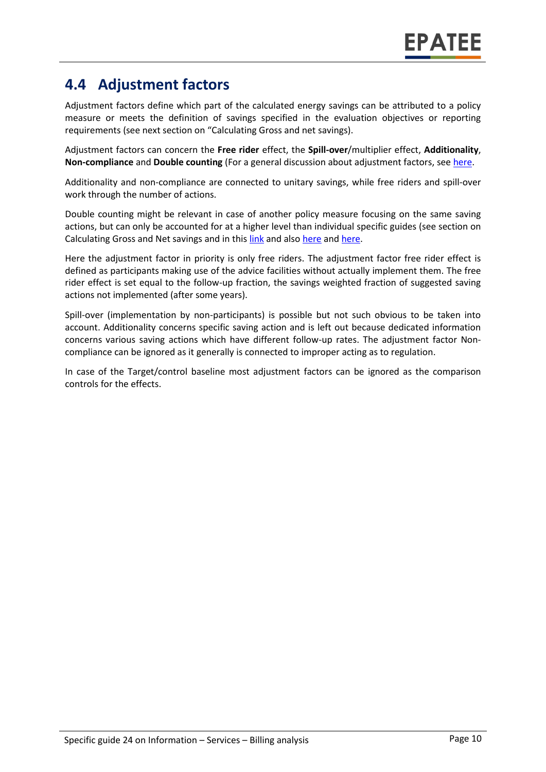## **4.4 Adjustment factors**

Adjustment factors define which part of the calculated energy savings can be attributed to a policy measure or meets the definition of savings specified in the evaluation objectives or reporting requirements (see next section on "Calculating Gross and net savings).

Adjustment factors can concern the **Free rider** effect, the **Spill-over**/multiplier effect, **Additionality**, **Non-compliance** and **Double counting** (For a general discussion about adjustment factors, see [here.](https://www.epatee-toolbox.eu/evaluation-principles-and-methods/general-principles/saving-calculation-methods-and-their-application-in-the-epatee-toolbox/)

Additionality and non-compliance are connected to unitary savings, while free riders and spill-over work through the number of actions.

Double counting might be relevant in case of another policy measure focusing on the same saving actions, but can only be accounted for at a higher level than individual specific guides (see section on Calculating Gross and Net savings and in this [link](https://www.epatee-lib.eu/media/docs/EMEEES_WP3_Report_Final.pdf) and also [here](https://www.academia.edu/14979876/Evaluating_energy_efficiency_policy_measures_and_DSM_programmes) and [here.](https://www.epatee-lib.eu/media/docs/D4_EMEEES_Final.pdf)

Here the adjustment factor in priority is only free riders. The adjustment factor free rider effect is defined as participants making use of the advice facilities without actually implement them. The free rider effect is set equal to the follow-up fraction, the savings weighted fraction of suggested saving actions not implemented (after some years).

Spill-over (implementation by non-participants) is possible but not such obvious to be taken into account. Additionality concerns specific saving action and is left out because dedicated information concerns various saving actions which have different follow-up rates. The adjustment factor Noncompliance can be ignored as it generally is connected to improper acting as to regulation.

In case of the Target/control baseline most adjustment factors can be ignored as the comparison controls for the effects.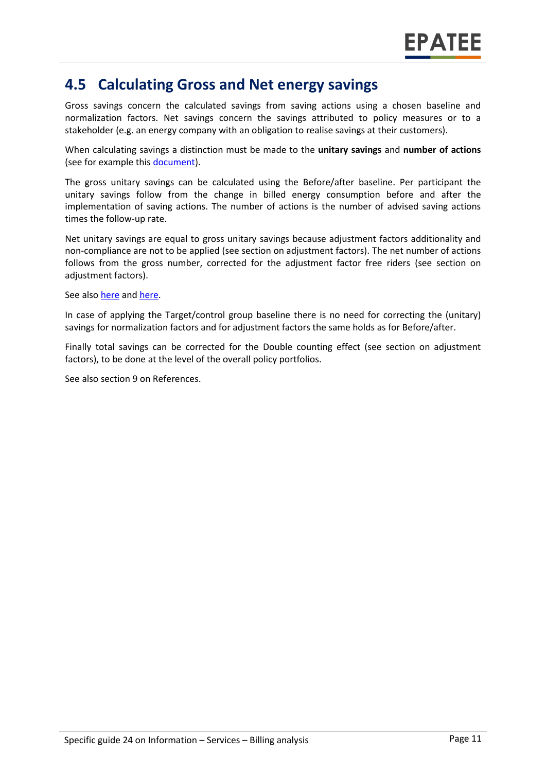#### **4.5 Calculating Gross and Net energy savings**

Gross savings concern the calculated savings from saving actions using a chosen baseline and normalization factors. Net savings concern the savings attributed to policy measures or to a stakeholder (e.g. an energy company with an obligation to realise savings at their customers).

When calculating savings a distinction must be made to the **unitary savings** and **number of actions** (see for example this [document\)](https://www.epatee-lib.eu/media/docs/D4_EMEEES_Final.pdf).

The gross unitary savings can be calculated using the Before/after baseline. Per participant the unitary savings follow from the change in billed energy consumption before and after the implementation of saving actions. The number of actions is the number of advised saving actions times the follow-up rate.

Net unitary savings are equal to gross unitary savings because adjustment factors additionality and non-compliance are not to be applied (see section on adjustment factors). The net number of actions follows from the gross number, corrected for the adjustment factor free riders (see section on adjustment factors).

See also [here](https://www.academia.edu/14979876/Evaluating_energy_efficiency_policy_measures_and_DSM_programmes) and [here.](https://www.epatee-lib.eu/media/docs/D4_EMEEES_Final.pdf)

In case of applying the Target/control group baseline there is no need for correcting the (unitary) savings for normalization factors and for adjustment factors the same holds as for Before/after.

Finally total savings can be corrected for the Double counting effect (see section on adjustment factors), to be done at the level of the overall policy portfolios.

See also section [9](#page-0-7) on References.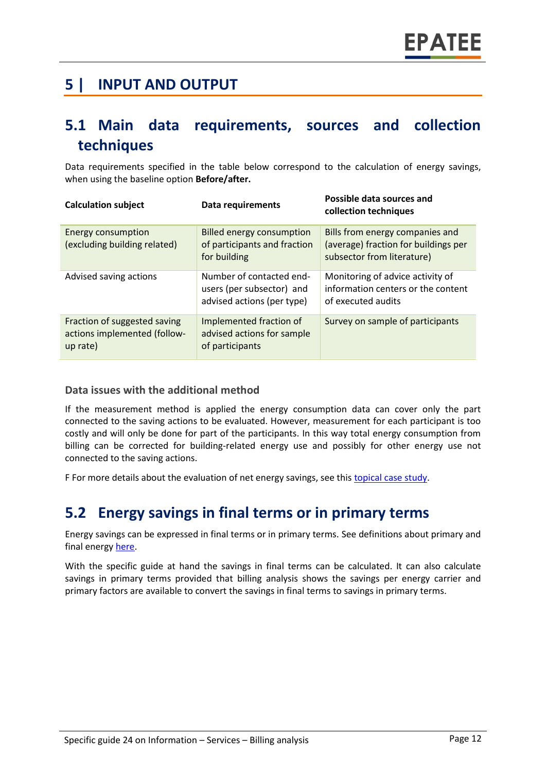## **5 | INPUT AND OUTPUT**

## **5.1 Main data requirements, sources and collection techniques**

Data requirements specified in the table below correspond to the calculation of energy savings, when using the baseline option **Before/after.**

| <b>Calculation subject</b>                                               | <b>Data requirements</b>                                                            | Possible data sources and<br>collection techniques                                                    |
|--------------------------------------------------------------------------|-------------------------------------------------------------------------------------|-------------------------------------------------------------------------------------------------------|
| <b>Energy consumption</b><br>(excluding building related)                | <b>Billed energy consumption</b><br>of participants and fraction<br>for building    | Bills from energy companies and<br>(average) fraction for buildings per<br>subsector from literature) |
| Advised saving actions                                                   | Number of contacted end-<br>users (per subsector) and<br>advised actions (per type) | Monitoring of advice activity of<br>information centers or the content<br>of executed audits          |
| Fraction of suggested saving<br>actions implemented (follow-<br>up rate) | Implemented fraction of<br>advised actions for sample<br>of participants            | Survey on sample of participants                                                                      |

#### **Data issues with the additional method**

If the measurement method is applied the energy consumption data can cover only the part connected to the saving actions to be evaluated. However, measurement for each participant is too costly and will only be done for part of the participants. In this way total energy consumption from billing can be corrected for building-related energy use and possibly for other energy use not connected to the saving actions.

F For more details about the evaluation of net energy savings, see this [topical case study.](https://www.epatee-toolbox.eu/wp-content/uploads/2018/10/epatee_topical_case_study_evaluating_net_energy_savings.pdf)

#### **5.2 Energy savings in final terms or in primary terms**

Energy savings can be expressed in final terms or in primary terms. See definitions about primary and final energy [here.](https://www.epatee-toolbox.eu/wp-content/uploads/2018/10/Definitions-and-typologies-related-to-energy-savings-evaluation.pdf)

With the specific guide at hand the savings in final terms can be calculated. It can also calculate savings in primary terms provided that billing analysis shows the savings per energy carrier and primary factors are available to convert the savings in final terms to savings in primary terms.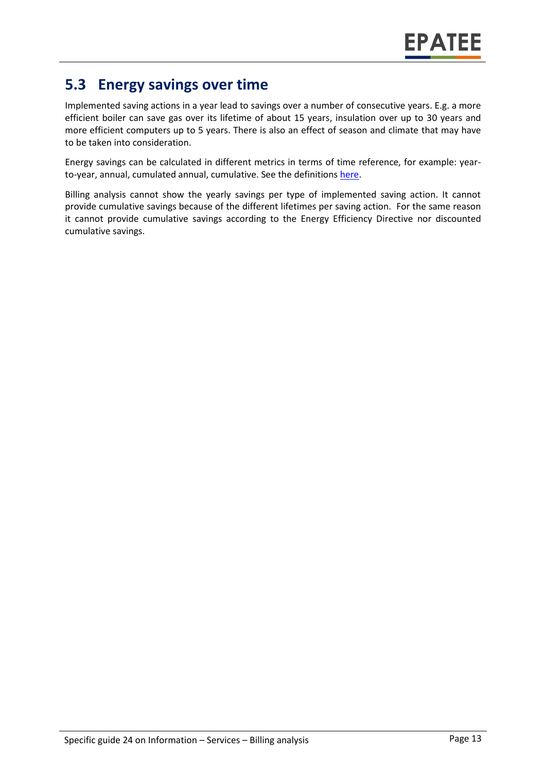## **5.3 Energy savings over time**

Implemented saving actions in a year lead to savings over a number of consecutive years. E.g. a more efficient boiler can save gas over its lifetime of about 15 years, insulation over up to 30 years and more efficient computers up to 5 years. There is also an effect of season and climate that may have to be taken into consideration.

Energy savings can be calculated in different metrics in terms of time reference, for example: yearto-year, annual, cumulated annual, cumulative. See the definition[s here.](https://www.epatee-toolbox.eu/wp-content/uploads/2018/10/Definitions-and-typologies-related-to-energy-savings-evaluation.pdf)

Billing analysis cannot show the yearly savings per type of implemented saving action. It cannot provide cumulative savings because of the different lifetimes per saving action. For the same reason it cannot provide cumulative savings according to the Energy Efficiency Directive nor discounted cumulative savings.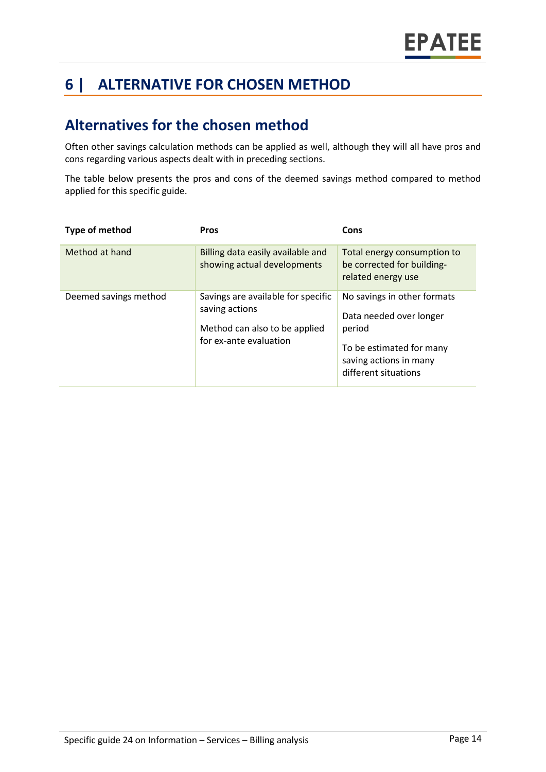## **6 | ALTERNATIVE FOR CHOSEN METHOD**

## **Alternatives for the chosen method**

Often other savings calculation methods can be applied as well, although they will all have pros and cons regarding various aspects dealt with in preceding sections.

The table below presents the pros and cons of the deemed savings method compared to method applied for this specific guide.

| Type of method        | <b>Pros</b>                                                                                                     | Cons                                                                                                                                           |
|-----------------------|-----------------------------------------------------------------------------------------------------------------|------------------------------------------------------------------------------------------------------------------------------------------------|
| Method at hand        | Billing data easily available and<br>showing actual developments                                                | Total energy consumption to<br>be corrected for building-<br>related energy use                                                                |
| Deemed savings method | Savings are available for specific<br>saving actions<br>Method can also to be applied<br>for ex-ante evaluation | No savings in other formats<br>Data needed over longer<br>period<br>To be estimated for many<br>saving actions in many<br>different situations |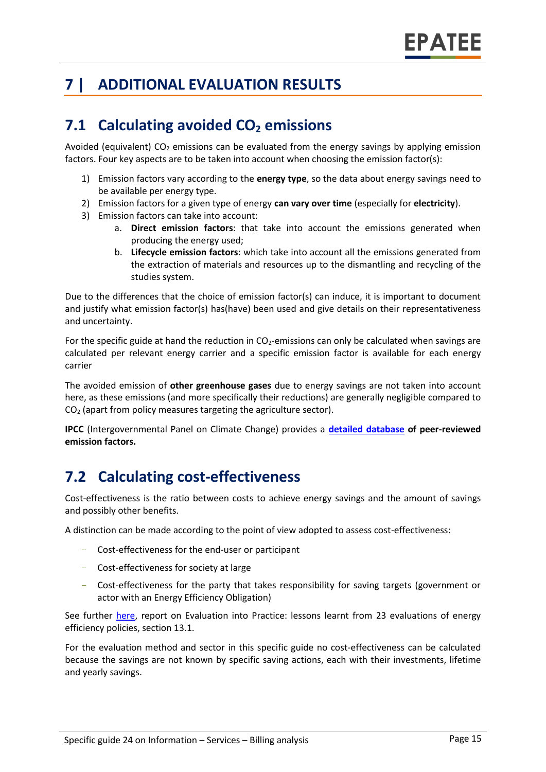## **7 | ADDITIONAL EVALUATION RESULTS**

## **7.1 Calculating avoided CO<sup>2</sup> emissions**

Avoided (equivalent)  $CO<sub>2</sub>$  emissions can be evaluated from the energy savings by applying emission factors. Four key aspects are to be taken into account when choosing the emission factor(s):

- 1) Emission factors vary according to the **energy type**, so the data about energy savings need to be available per energy type.
- 2) Emission factors for a given type of energy **can vary over time** (especially for **electricity**).
- 3) Emission factors can take into account:
	- a. **Direct emission factors**: that take into account the emissions generated when producing the energy used;
	- b. **Lifecycle emission factors**: which take into account all the emissions generated from the extraction of materials and resources up to the dismantling and recycling of the studies system.

Due to the differences that the choice of emission factor(s) can induce, it is important to document and justify what emission factor(s) has(have) been used and give details on their representativeness and uncertainty.

For the specific guide at hand the reduction in  $CO<sub>2</sub>$ -emissions can only be calculated when savings are calculated per relevant energy carrier and a specific emission factor is available for each energy carrier

The avoided emission of **other greenhouse gases** due to energy savings are not taken into account here, as these emissions (and more specifically their reductions) are generally negligible compared to CO<sup>2</sup> (apart from policy measures targeting the agriculture sector).

**IPCC** (Intergovernmental Panel on Climate Change) provides a **[detailed database](https://www.ipcc-nggip.iges.or.jp/EFDB/main.php) of peer-reviewed emission factors.** 

## **7.2 Calculating cost-effectiveness**

Cost-effectiveness is the ratio between costs to achieve energy savings and the amount of savings and possibly other benefits.

A distinction can be made according to the point of view adopted to assess cost-effectiveness:

- Cost-effectiveness for the end-user or participant
- Cost-effectiveness for society at large
- Cost-effectiveness for the party that takes responsibility for saving targets (government or actor with an Energy Efficiency Obligation)

See further [here,](https://epatee.eu/reports) report on Evaluation into Practice: lessons learnt from 23 evaluations of energy efficiency policies, section 13.1.

For the evaluation method and sector in this specific guide no cost-effectiveness can be calculated because the savings are not known by specific saving actions, each with their investments, lifetime and yearly savings.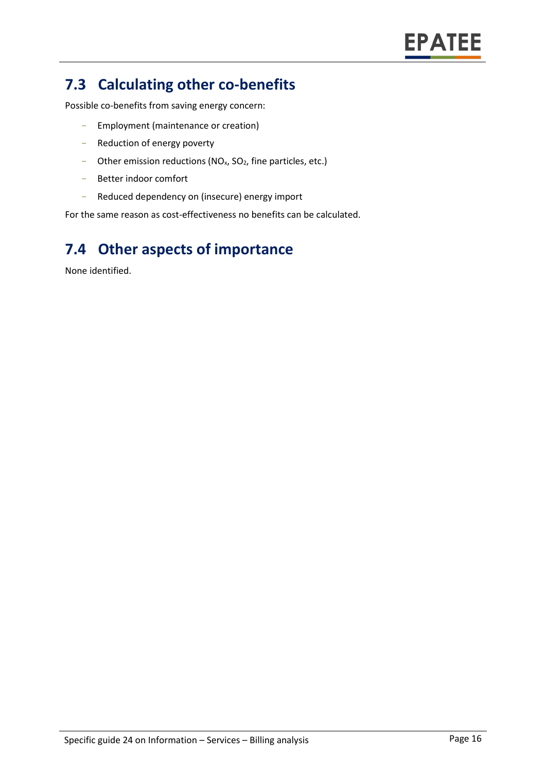## **7.3 Calculating other co-benefits**

Possible co-benefits from saving energy concern:

- Employment (maintenance or creation)
- Reduction of energy poverty
- Other emission reductions ( $NO<sub>x</sub>$ ,  $SO<sub>2</sub>$ , fine particles, etc.)
- Better indoor comfort
- Reduced dependency on (insecure) energy import

For the same reason as cost-effectiveness no benefits can be calculated.

## **7.4 Other aspects of importance**

None identified.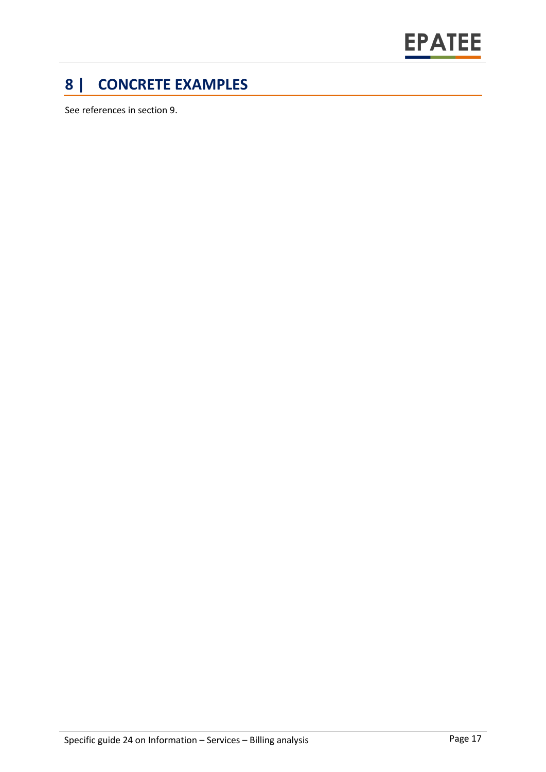

## **8 | CONCRETE EXAMPLES**

See references in section 9.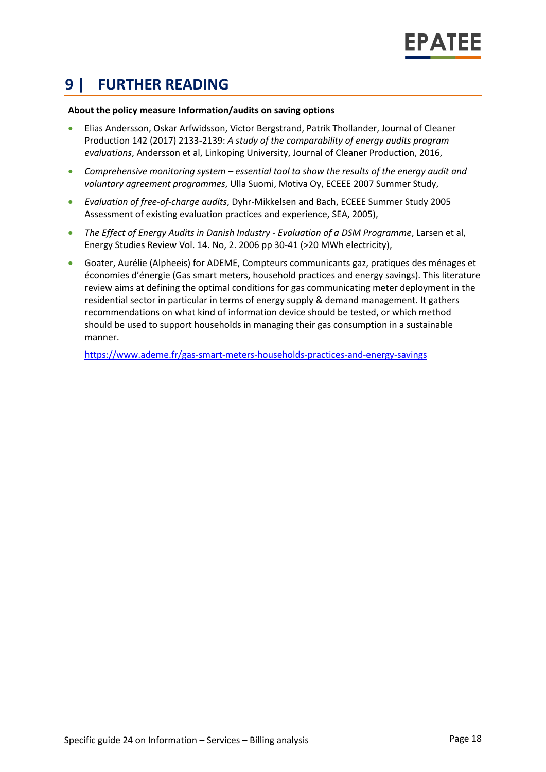## **9 | FURTHER READING**

#### **About the policy measure Information/audits on saving options**

- Elias Andersson, Oskar Arfwidsson, Victor Bergstrand, Patrik Thollander, Journal of Cleaner Production 142 (2017) 2133-2139: *A study of the comparability of energy audits program evaluations*, Andersson et al, Linkoping University, Journal of Cleaner Production, 2016,
- *Comprehensive monitoring system – essential tool to show the results of the energy audit and voluntary agreement programmes*, Ulla Suomi, Motiva Oy, ECEEE 2007 Summer Study,
- *Evaluation of free-of-charge audits*, Dyhr-Mikkelsen and Bach, ECEEE Summer Study 2005 Assessment of existing evaluation practices and experience, SEA, 2005),
- *The Effect of Energy Audits in Danish Industry - Evaluation of a DSM Programme*, Larsen et al, Energy Studies Review Vol. 14. No, 2. 2006 pp 30-41 (>20 MWh electricity),
- Goater, Aurélie (Alpheeis) for ADEME, Compteurs communicants gaz, pratiques des ménages et économies d'énergie (Gas smart meters, household practices and energy savings). This literature review aims at defining the optimal conditions for gas communicating meter deployment in the residential sector in particular in terms of energy supply & demand management. It gathers recommendations on what kind of information device should be tested, or which method should be used to support households in managing their gas consumption in a sustainable manner.

<https://www.ademe.fr/gas-smart-meters-households-practices-and-energy-savings>